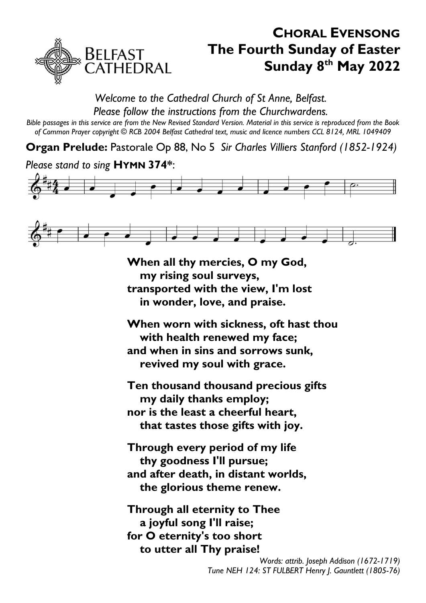

# **CHORAL EVENSONG The Fourth Sunday of Easter Sunday 8 th May 2022**

#### *Welcome to the Cathedral Church of St Anne, Belfast. Please follow the instructions from the Churchwardens.*

*Bible passages in this service are from the New Revised Standard Version. Material in this service is reproduced from the Book of Common Prayer copyright © RCB 2004 Belfast Cathedral text, music and licence numbers CCL 8124, MRL 1049409*

**Organ Prelude:** Pastorale Op 88, No 5 *Sir Charles Villiers Stanford (1852-1924)*

### *Please stand to sing* **HYMN 374\***:





**When all thy mercies, O my God, my rising soul surveys, transported with the view, I'm lost in wonder, love, and praise.**

**When worn with sickness, oft hast thou with health renewed my face; and when in sins and sorrows sunk, revived my soul with grace.**

**Ten thousand thousand precious gifts my daily thanks employ; nor is the least a cheerful heart, that tastes those gifts with joy.**

**Through every period of my life thy goodness I'll pursue; and after death, in distant worlds, the glorious theme renew.**

**Through all eternity to Thee a joyful song I'll raise; for O eternity's too short to utter all Thy praise!**

> *Words: attrib. Joseph Addison (1672-1719) Tune NEH 124: ST FULBERT Henry J. Gauntlett (1805-76)*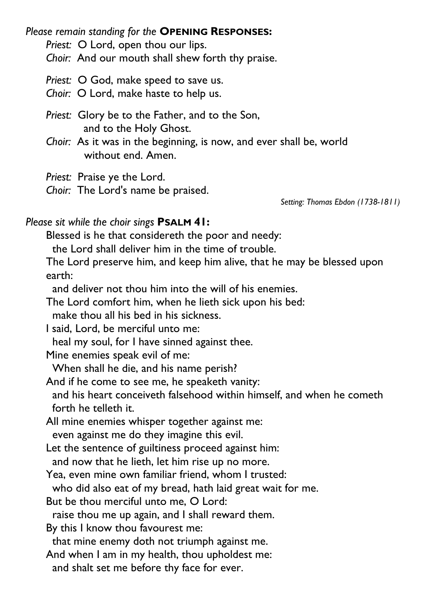*Please remain standing for the* **OPENING RESPONSES:**

*Priest:* O Lord, open thou our lips.

*Choir:* And our mouth shall shew forth thy praise.

*Priest:* O God, make speed to save us.

*Choir:* O Lord, make haste to help us.

*Priest:* Glory be to the Father, and to the Son, and to the Holy Ghost.

*Choir:* As it was in the beginning, is now, and ever shall be, world without end. Amen.

*Priest:* Praise ye the Lord.

*Choir:* The Lord's name be praised.

*Setting: Thomas Ebdon (1738-1811)*

## *Please sit while the choir sings* **PSALM 41:**

Blessed is he that considereth the poor and needy:

the Lord shall deliver him in the time of trouble.

The Lord preserve him, and keep him alive, that he may be blessed upon earth:

and deliver not thou him into the will of his enemies.

The Lord comfort him, when he lieth sick upon his bed:

make thou all his bed in his sickness.

I said, Lord, be merciful unto me:

heal my soul, for I have sinned against thee.

Mine enemies speak evil of me:

When shall he die, and his name perish?

And if he come to see me, he speaketh vanity:

and his heart conceiveth falsehood within himself, and when he cometh forth he telleth it.

All mine enemies whisper together against me:

even against me do they imagine this evil.

Let the sentence of guiltiness proceed against him:

and now that he lieth, let him rise up no more.

Yea, even mine own familiar friend, whom I trusted:

who did also eat of my bread, hath laid great wait for me.

But be thou merciful unto me, O Lord:

raise thou me up again, and I shall reward them.

By this I know thou favourest me:

that mine enemy doth not triumph against me.

And when I am in my health, thou upholdest me:

and shalt set me before thy face for ever.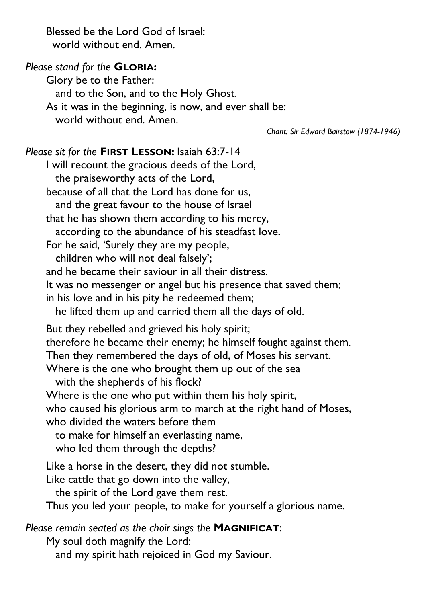Blessed be the Lord God of Israel: world without end. Amen.

### *Please stand for the* **GLORIA:**

Glory be to the Father: and to the Son, and to the Holy Ghost. As it was in the beginning, is now, and ever shall be: world without end. Amen.

*Chant: Sir Edward Bairstow (1874-1946)*

#### *Please sit for the* **FIRST LESSON:** Isaiah 63:7-14

I will recount the gracious deeds of the Lord, the praiseworthy acts of the Lord, because of all that the Lord has done for us, and the great favour to the house of Israel that he has shown them according to his mercy, according to the abundance of his steadfast love. For he said, 'Surely they are my people, children who will not deal falsely'; and he became their saviour in all their distress. It was no messenger or angel but his presence that saved them; in his love and in his pity he redeemed them; he lifted them up and carried them all the days of old. But they rebelled and grieved his holy spirit; therefore he became their enemy; he himself fought against them. Then they remembered the days of old, of Moses his servant. Where is the one who brought them up out of the sea with the shepherds of his flock? Where is the one who put within them his holy spirit, who caused his glorious arm to march at the right hand of Moses, who divided the waters before them to make for himself an everlasting name, who led them through the depths? Like a horse in the desert, they did not stumble. Like cattle that go down into the valley, the spirit of the Lord gave them rest. Thus you led your people, to make for yourself a glorious name. *Please remain seated as the choir sings the* **MAGNIFICAT**: My soul doth magnify the Lord: and my spirit hath rejoiced in God my Saviour.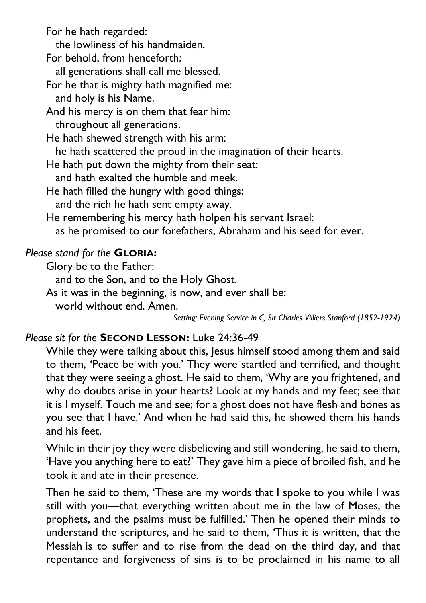For he hath regarded:

the lowliness of his handmaiden.

For behold, from henceforth:

all generations shall call me blessed.

For he that is mighty hath magnified me:

and holy is his Name.

And his mercy is on them that fear him: throughout all generations.

He hath shewed strength with his arm: he hath scattered the proud in the imagination of their hearts.

He hath put down the mighty from their seat:

and hath exalted the humble and meek.

He hath filled the hungry with good things:

and the rich he hath sent empty away.

He remembering his mercy hath holpen his servant Israel:

as he promised to our forefathers, Abraham and his seed for ever.

# *Please stand for the* **GLORIA:**

Glory be to the Father:

and to the Son, and to the Holy Ghost.

As it was in the beginning, is now, and ever shall be:

world without end. Amen.

*Setting: Evening Service in C, Sir Charles Villiers Stanford (1852-1924)*

# *Please sit for the* **SECOND LESSON:** Luke 24:36-49

While they were talking about this, Jesus himself stood among them and said to them, 'Peace be with you.' They were startled and terrified, and thought that they were seeing a ghost. He said to them, 'Why are you frightened, and why do doubts arise in your hearts? Look at my hands and my feet; see that it is I myself. Touch me and see; for a ghost does not have flesh and bones as you see that I have.' And when he had said this, he showed them his hands and his feet.

While in their joy they were disbelieving and still wondering, he said to them, 'Have you anything here to eat?' They gave him a piece of broiled fish, and he took it and ate in their presence.

Then he said to them, 'These are my words that I spoke to you while I was still with you—that everything written about me in the law of Moses, the prophets, and the psalms must be fulfilled.' Then he opened their minds to understand the scriptures, and he said to them, 'Thus it is written, that the Messiah is to suffer and to rise from the dead on the third day, and that repentance and forgiveness of sins is to be proclaimed in his name to all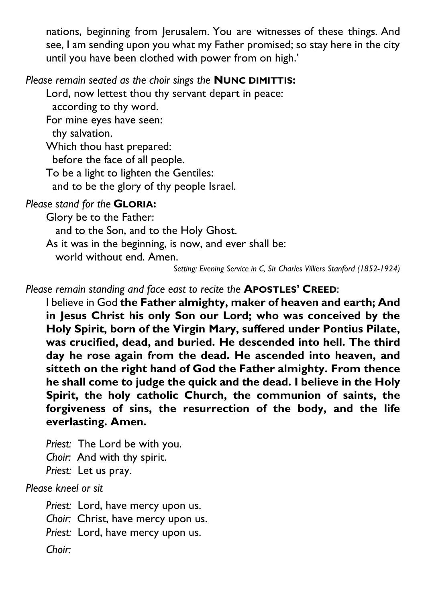nations, beginning from Jerusalem. You are witnesses of these things. And see, I am sending upon you what my Father promised; so stay here in the city until you have been clothed with power from on high.'

## *Please remain seated as the choir sings the* **NUNC DIMITTIS:**

Lord, now lettest thou thy servant depart in peace:

according to thy word.

For mine eyes have seen:

thy salvation.

Which thou hast prepared:

before the face of all people.

To be a light to lighten the Gentiles:

and to be the glory of thy people Israel.

# *Please stand for the* **GLORIA:**

Glory be to the Father:

and to the Son, and to the Holy Ghost.

As it was in the beginning, is now, and ever shall be:

world without end. Amen.

*Setting: Evening Service in C, Sir Charles Villiers Stanford (1852-1924)*

*Please remain standing and face east to recite the* **APOSTLES' CREED**:

I believe in God **the Father almighty, maker of heaven and earth; And in Jesus Christ his only Son our Lord; who was conceived by the Holy Spirit, born of the Virgin Mary, suffered under Pontius Pilate, was crucified, dead, and buried. He descended into hell. The third day he rose again from the dead. He ascended into heaven, and sitteth on the right hand of God the Father almighty. From thence he shall come to judge the quick and the dead. I believe in the Holy Spirit, the holy catholic Church, the communion of saints, the forgiveness of sins, the resurrection of the body, and the life everlasting. Amen.**

*Priest:* The Lord be with you. *Choir:* And with thy spirit. *Priest:* Let us pray.

*Please kneel or sit*

*Priest:* Lord, have mercy upon us. *Choir:* Christ, have mercy upon us. *Priest:* Lord, have mercy upon us. *Choir:*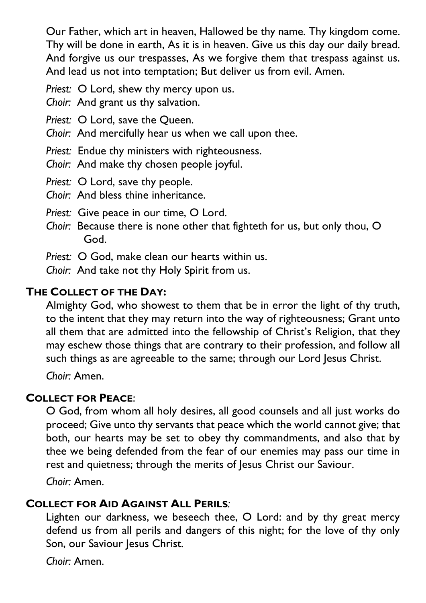Our Father, which art in heaven, Hallowed be thy name. Thy kingdom come. Thy will be done in earth, As it is in heaven. Give us this day our daily bread. And forgive us our trespasses, As we forgive them that trespass against us. And lead us not into temptation; But deliver us from evil. Amen.

*Priest:* O Lord, shew thy mercy upon us.

*Choir:* And grant us thy salvation.

*Priest:* O Lord, save the Queen.

*Choir:* And mercifully hear us when we call upon thee.

*Priest:* Endue thy ministers with righteousness.

*Choir:* And make thy chosen people joyful.

*Priest:* O Lord, save thy people.

*Choir:* And bless thine inheritance.

*Priest:* Give peace in our time, O Lord.

*Choir:* Because there is none other that fighteth for us, but only thou, O God.

*Priest:* O God, make clean our hearts within us.

*Choir:* And take not thy Holy Spirit from us.

# **THE COLLECT OF THE DAY:**

Almighty God, who showest to them that be in error the light of thy truth, to the intent that they may return into the way of righteousness; Grant unto all them that are admitted into the fellowship of Christ's Religion, that they may eschew those things that are contrary to their profession, and follow all such things as are agreeable to the same; through our Lord Jesus Christ.

*Choir:* Amen.

# **COLLECT FOR PEACE**:

O God, from whom all holy desires, all good counsels and all just works do proceed; Give unto thy servants that peace which the world cannot give; that both, our hearts may be set to obey thy commandments, and also that by thee we being defended from the fear of our enemies may pass our time in rest and quietness; through the merits of Jesus Christ our Saviour.

*Choir:* Amen.

# **COLLECT FOR AID AGAINST ALL PERILS***:*

Lighten our darkness, we beseech thee, O Lord: and by thy great mercy defend us from all perils and dangers of this night; for the love of thy only Son, our Saviour Jesus Christ.

*Choir:* Amen.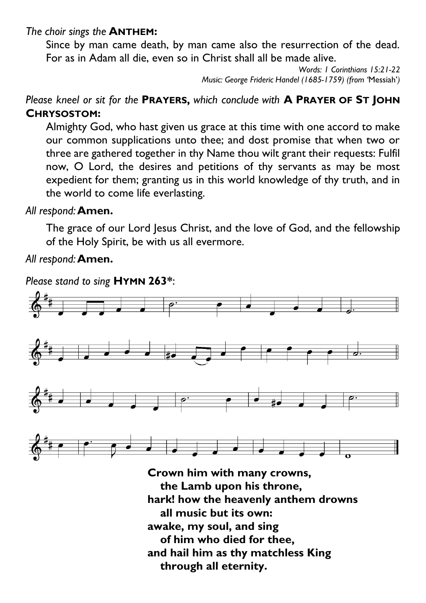#### *The choir sings the* **ANTHEM:**

Since by man came death, by man came also the resurrection of the dead. For as in Adam all die, even so in Christ shall all be made alive.

> *Words: 1 Corinthians 15:21-22 Music: George Frideric Handel (1685-1759) (from '*Messiah'*)*

*Please kneel or sit for the* **PRAYERS,** *which conclude with* **A PRAYER OF ST JOHN CHRYSOSTOM:**

Almighty God, who hast given us grace at this time with one accord to make our common supplications unto thee; and dost promise that when two or three are gathered together in thy Name thou wilt grant their requests: Fulfil now, O Lord, the desires and petitions of thy servants as may be most expedient for them; granting us in this world knowledge of thy truth, and in the world to come life everlasting.

### *All respond:***Amen.**

The grace of our Lord Jesus Christ, and the love of God, and the fellowship of the Holy Spirit, be with us all evermore.

### *All respond:***Amen.**

*Please stand to sing* **HYMN 263\***:



**Crown him with many crowns, the Lamb upon his throne, hark! how the heavenly anthem drowns all music but its own: awake, my soul, and sing of him who died for thee, and hail him as thy matchless King through all eternity.**